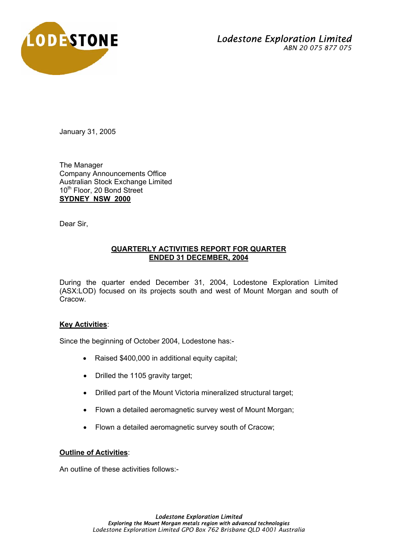

## *Lodestone Exploration Limited ABN 20 075 877 075*

January 31, 2005

The Manager Company Announcements Office Australian Stock Exchange Limited 10<sup>th</sup> Floor, 20 Bond Street **SYDNEY NSW 2000**

Dear Sir,

## **QUARTERLY ACTIVITIES REPORT FOR QUARTER ENDED 31 DECEMBER, 2004**

During the quarter ended December 31, 2004, Lodestone Exploration Limited (ASX:LOD) focused on its projects south and west of Mount Morgan and south of Cracow.

## **Key Activities**:

Since the beginning of October 2004, Lodestone has:-

- Raised \$400,000 in additional equity capital;
- Drilled the 1105 gravity target;
- Drilled part of the Mount Victoria mineralized structural target;
- Flown a detailed aeromagnetic survey west of Mount Morgan;
- Flown a detailed aeromagnetic survey south of Cracow;

## **Outline of Activities**:

An outline of these activities follows:-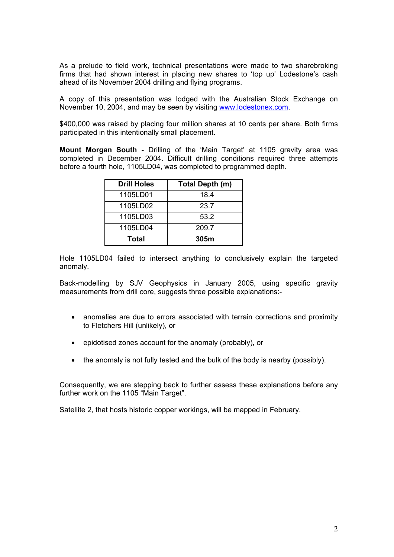As a prelude to field work, technical presentations were made to two sharebroking firms that had shown interest in placing new shares to 'top up' Lodestone's cash ahead of its November 2004 drilling and flying programs.

A copy of this presentation was lodged with the Australian Stock Exchange on November 10, 2004, and may be seen by visiting www.lodestonex.com.

\$400,000 was raised by placing four million shares at 10 cents per share. Both firms participated in this intentionally small placement.

**Mount Morgan South** - Drilling of the 'Main Target' at 1105 gravity area was completed in December 2004. Difficult drilling conditions required three attempts before a fourth hole, 1105LD04, was completed to programmed depth.

| <b>Drill Holes</b> | Total Depth (m) |  |
|--------------------|-----------------|--|
| 1105LD01           | 18.4            |  |
| 1105LD02           | 23.7            |  |
| 1105LD03           | 53.2            |  |
| 1105LD04           | 209.7           |  |
| Total              | 305m            |  |

Hole 1105LD04 failed to intersect anything to conclusively explain the targeted anomaly.

Back-modelling by SJV Geophysics in January 2005, using specific gravity measurements from drill core, suggests three possible explanations:-

- anomalies are due to errors associated with terrain corrections and proximity to Fletchers Hill (unlikely), or
- epidotised zones account for the anomaly (probably), or
- the anomaly is not fully tested and the bulk of the body is nearby (possibly).

Consequently, we are stepping back to further assess these explanations before any further work on the 1105 "Main Target".

Satellite 2, that hosts historic copper workings, will be mapped in February.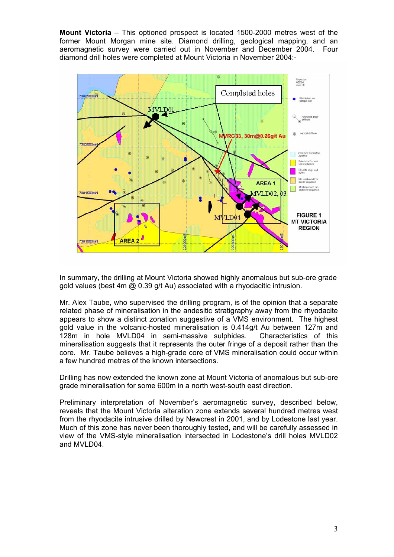**Mount Victoria** – This optioned prospect is located 1500-2000 metres west of the former Mount Morgan mine site. Diamond drilling, geological mapping, and an aeromagnetic survey were carried out in November and December 2004. Four diamond drill holes were completed at Mount Victoria in November 2004:-



In summary, the drilling at Mount Victoria showed highly anomalous but sub-ore grade gold values (best 4m @ 0.39 g/t Au) associated with a rhyodacitic intrusion.

Mr. Alex Taube, who supervised the drilling program, is of the opinion that a separate related phase of mineralisation in the andesitic stratigraphy away from the rhyodacite appears to show a distinct zonation suggestive of a VMS environment. The highest gold value in the volcanic-hosted mineralisation is 0.414g/t Au between 127m and 128m in hole MVLD04 in semi-massive sulphides. Characteristics of this mineralisation suggests that it represents the outer fringe of a deposit rather than the core. Mr. Taube believes a high-grade core of VMS mineralisation could occur within a few hundred metres of the known intersections.

Drilling has now extended the known zone at Mount Victoria of anomalous but sub-ore grade mineralisation for some 600m in a north west-south east direction.

Preliminary interpretation of November's aeromagnetic survey, described below, reveals that the Mount Victoria alteration zone extends several hundred metres west from the rhyodacite intrusive drilled by Newcrest in 2001, and by Lodestone last year. Much of this zone has never been thoroughly tested, and will be carefully assessed in view of the VMS-style mineralisation intersected in Lodestone's drill holes MVLD02 and MVLD04.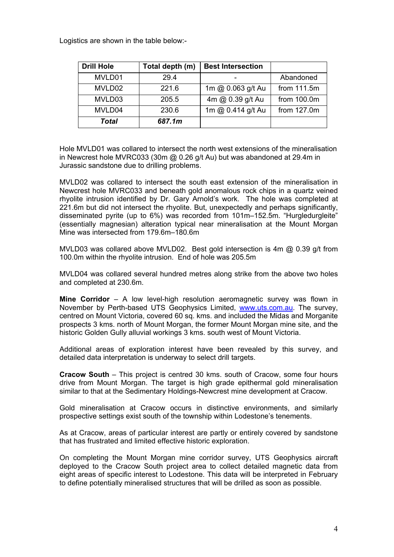Logistics are shown in the table below:-

| <b>Drill Hole</b> | Total depth (m) | <b>Best Intersection</b> |             |
|-------------------|-----------------|--------------------------|-------------|
| MVLD01            | 29.4            |                          | Abandoned   |
| MVLD02            | 221.6           | 1m @ 0.063 g/t Au        | from 111.5m |
| MVLD03            | 205.5           | 4m @ 0.39 g/t Au         | from 100.0m |
| MVLD04            | 230.6           | 1m @ 0.414 g/t Au        | from 127.0m |
| Total             | 687.1m          |                          |             |

Hole MVLD01 was collared to intersect the north west extensions of the mineralisation in Newcrest hole MVRC033 (30m  $\omega$  0.26 g/t Au) but was abandoned at 29.4m in Jurassic sandstone due to drilling problems.

MVLD02 was collared to intersect the south east extension of the mineralisation in Newcrest hole MVRC033 and beneath gold anomalous rock chips in a quartz veined rhyolite intrusion identified by Dr. Gary Arnold's work. The hole was completed at 221.6m but did not intersect the rhyolite. But, unexpectedly and perhaps significantly, disseminated pyrite (up to 6%) was recorded from 101m–152.5m. "Hurgledurgleite" (essentially magnesian) alteration typical near mineralisation at the Mount Morgan Mine was intersected from 179.6m–180.6m

MVLD03 was collared above MVLD02. Best gold intersection is 4m @ 0.39 g/t from 100.0m within the rhyolite intrusion. End of hole was 205.5m

MVLD04 was collared several hundred metres along strike from the above two holes and completed at 230.6m.

**Mine Corridor** – A low level-high resolution aeromagnetic survey was flown in November by Perth-based UTS Geophysics Limited, www.uts.com.au. The survey, centred on Mount Victoria, covered 60 sq. kms. and included the Midas and Morganite prospects 3 kms. north of Mount Morgan, the former Mount Morgan mine site, and the historic Golden Gully alluvial workings 3 kms. south west of Mount Victoria.

Additional areas of exploration interest have been revealed by this survey, and detailed data interpretation is underway to select drill targets.

**Cracow South** – This project is centred 30 kms. south of Cracow, some four hours drive from Mount Morgan. The target is high grade epithermal gold mineralisation similar to that at the Sedimentary Holdings-Newcrest mine development at Cracow.

Gold mineralisation at Cracow occurs in distinctive environments, and similarly prospective settings exist south of the township within Lodestone's tenements.

As at Cracow, areas of particular interest are partly or entirely covered by sandstone that has frustrated and limited effective historic exploration.

On completing the Mount Morgan mine corridor survey, UTS Geophysics aircraft deployed to the Cracow South project area to collect detailed magnetic data from eight areas of specific interest to Lodestone. This data will be interpreted in February to define potentially mineralised structures that will be drilled as soon as possible.